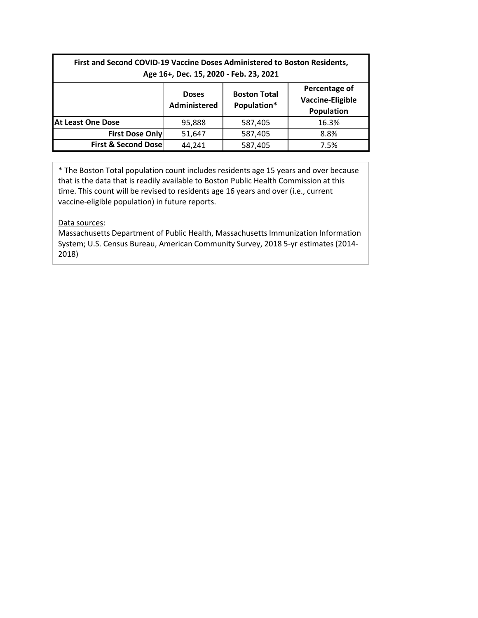| First and Second COVID-19 Vaccine Doses Administered to Boston Residents,<br>Age 16+, Dec. 15, 2020 - Feb. 23, 2021 |                                     |                                    |                                                        |
|---------------------------------------------------------------------------------------------------------------------|-------------------------------------|------------------------------------|--------------------------------------------------------|
|                                                                                                                     | <b>Doses</b><br><b>Administered</b> | <b>Boston Total</b><br>Population* | Percentage of<br><b>Vaccine-Eligible</b><br>Population |
| At Least One Dose                                                                                                   | 95,888                              | 587,405                            | 16.3%                                                  |
| <b>First Dose Only</b>                                                                                              | 51,647                              | 587,405                            | 8.8%                                                   |
| <b>First &amp; Second Dose</b>                                                                                      | 44,241                              | 587,405                            | 7.5%                                                   |

\* The Boston Total population count includes residents age 15 years and over because that is the data that is readily available to Boston Public Health Commission at this time. This count will be revised to residents age 16 years and over (i.e., current vaccine-eligible population) in future reports.

## Data sources: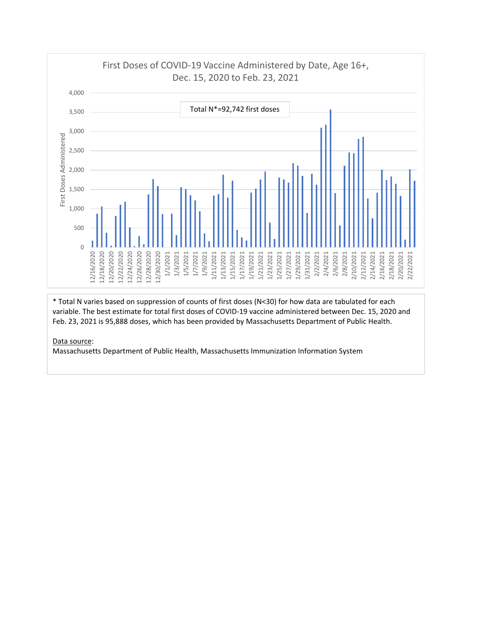

\* Total N varies based on suppression of counts of first doses (N<30) for how data are tabulated for each variable. The best estimate for total first doses of COVID-19 vaccine administered between Dec. 15, 2020 and Feb. 23, 2021 is 95,888 doses, which has been provided by Massachusetts Department of Public Health.

# Data source: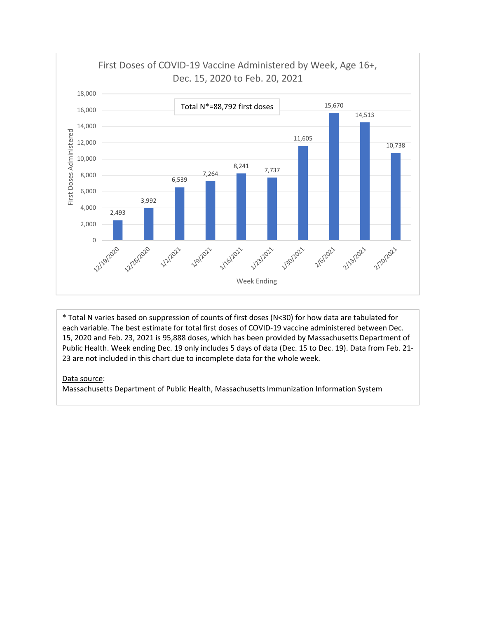

\* Total N varies based on suppression of counts of first doses (N<30) for how data are tabulated for each variable. The best estimate for total first doses of COVID-19 vaccine administered between Dec. 15, 2020 and Feb. 23, 2021 is 95,888 doses, which has been provided by Massachusetts Department of Public Health. Week ending Dec. 19 only includes 5 days of data (Dec. 15 to Dec. 19). Data from Feb. 21- 23 are not included in this chart due to incomplete data for the whole week.

## Data source: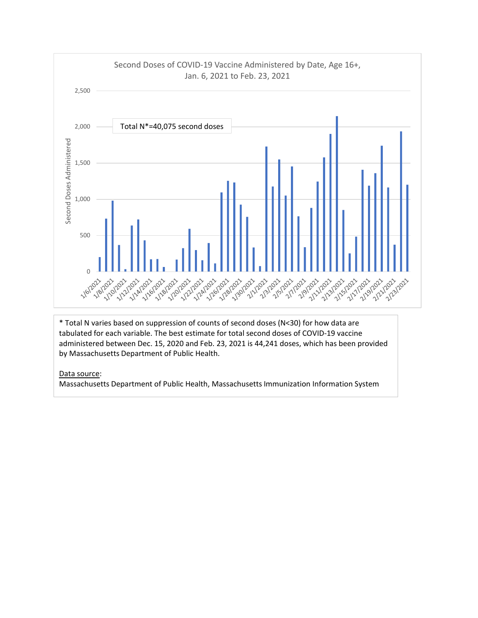

\* Total N varies based on suppression of counts of second doses (N<30) for how data are tabulated for each variable. The best estimate for total second doses of COVID-19 vaccine administered between Dec. 15, 2020 and Feb. 23, 2021 is 44,241 doses, which has been provided by Massachusetts Department of Public Health.

# Data source: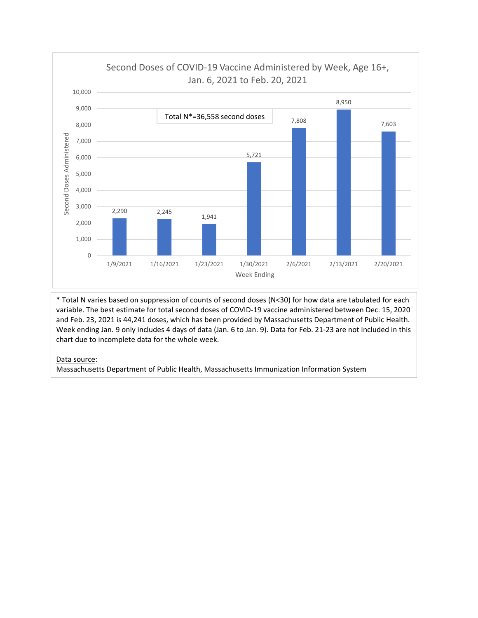

\* Total N varies based on suppression of counts of second doses (N<30) for how data are tabulated for each variable. The best estimate for total second doses of COVID-19 vaccine administered between Dec. 15, 2020 and Feb. 23, 2021 is 44,241 doses, which has been provided by Massachusetts Department of Public Health. Week ending Jan. 9 only includes 4 days of data (Jan. 6 to Jan. 9). Data for Feb. 21-23 are not included in this chart due to incomplete data for the whole week.

# Data source: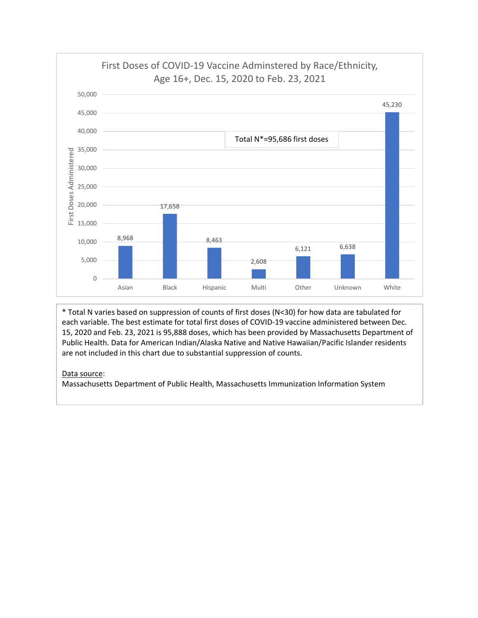

\* Total N varies based on suppression of counts of first doses (N<30) for how data are tabulated for each variable. The best estimate for total first doses of COVID-19 vaccine administered between Dec. 15, 2020 and Feb. 23, 2021 is 95,888 doses, which has been provided by Massachusetts Department of Public Health. Data for American Indian/Alaska Native and Native Hawaiian/Pacific Islander residents are not included in this chart due to substantial suppression of counts.

### Data source: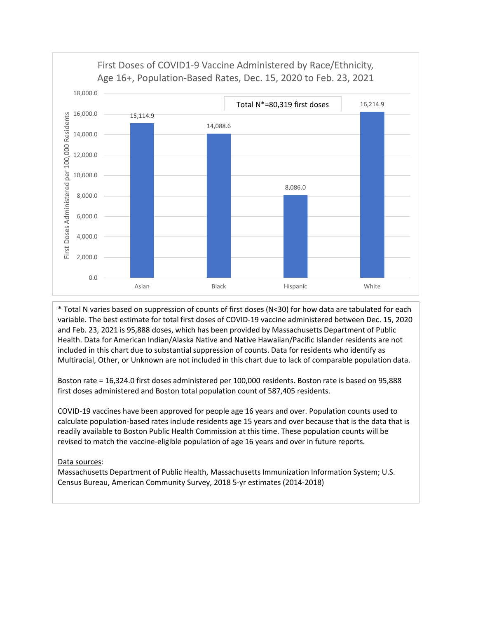

\* Total N varies based on suppression of counts of first doses (N<30) for how data are tabulated for each variable. The best estimate for total first doses of COVID-19 vaccine administered between Dec. 15, 2020 and Feb. 23, 2021 is 95,888 doses, which has been provided by Massachusetts Department of Public Health. Data for American Indian/Alaska Native and Native Hawaiian/Pacific Islander residents are not included in this chart due to substantial suppression of counts. Data for residents who identify as Multiracial, Other, or Unknown are not included in this chart due to lack of comparable population data.

Boston rate = 16,324.0 first doses administered per 100,000 residents. Boston rate is based on 95,888 first doses administered and Boston total population count of 587,405 residents.

COVID-19 vaccines have been approved for people age 16 years and over. Population counts used to calculate population-based rates include residents age 15 years and over because that is the data that is readily available to Boston Public Health Commission at this time. These population counts will be revised to match the vaccine-eligible population of age 16 years and over in future reports.

## Data sources: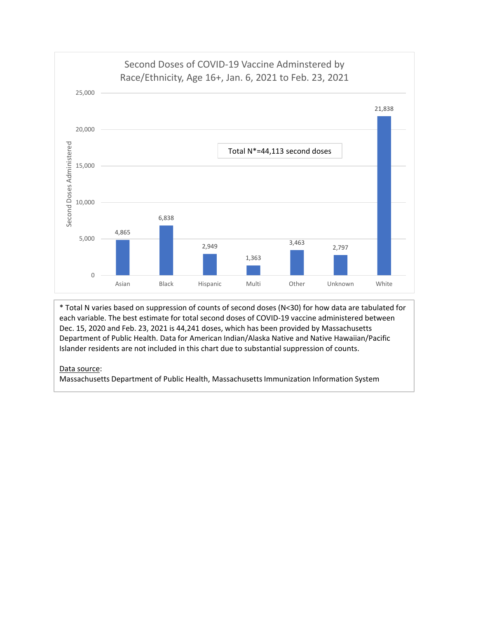

\* Total N varies based on suppression of counts of second doses (N<30) for how data are tabulated for each variable. The best estimate for total second doses of COVID-19 vaccine administered between Dec. 15, 2020 and Feb. 23, 2021 is 44,241 doses, which has been provided by Massachusetts Department of Public Health. Data for American Indian/Alaska Native and Native Hawaiian/Pacific Islander residents are not included in this chart due to substantial suppression of counts.

# Data source: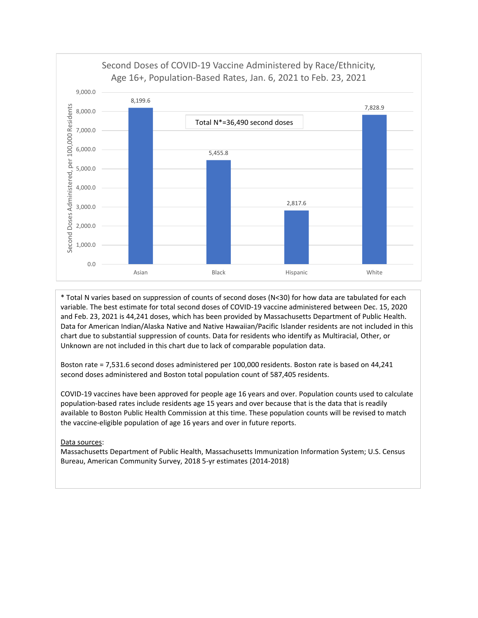

\* Total N varies based on suppression of counts of second doses (N<30) for how data are tabulated for each variable. The best estimate for total second doses of COVID-19 vaccine administered between Dec. 15, 2020 and Feb. 23, 2021 is 44,241 doses, which has been provided by Massachusetts Department of Public Health. Data for American Indian/Alaska Native and Native Hawaiian/Pacific Islander residents are not included in this chart due to substantial suppression of counts. Data for residents who identify as Multiracial, Other, or Unknown are not included in this chart due to lack of comparable population data.

Boston rate = 7,531.6 second doses administered per 100,000 residents. Boston rate is based on 44,241 second doses administered and Boston total population count of 587,405 residents.

COVID-19 vaccines have been approved for people age 16 years and over. Population counts used to calculate population-based rates include residents age 15 years and over because that is the data that is readily available to Boston Public Health Commission at this time. These population counts will be revised to match the vaccine-eligible population of age 16 years and over in future reports.

Data sources: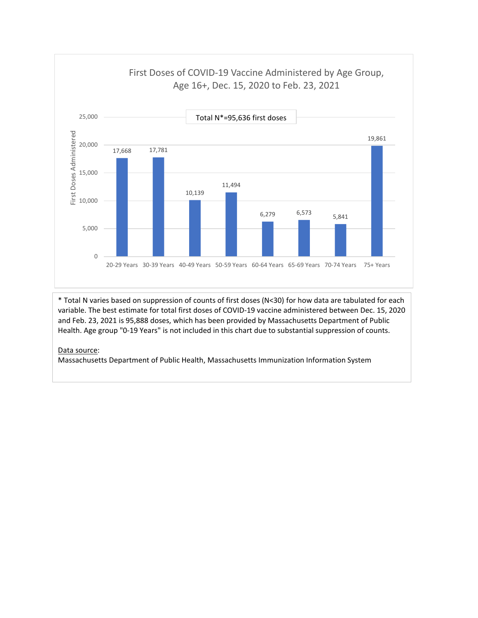

\* Total N varies based on suppression of counts of first doses (N<30) for how data are tabulated for each variable. The best estimate for total first doses of COVID-19 vaccine administered between Dec. 15, 2020 and Feb. 23, 2021 is 95,888 doses, which has been provided by Massachusetts Department of Public Health. Age group "0-19 Years" is not included in this chart due to substantial suppression of counts.

## Data source: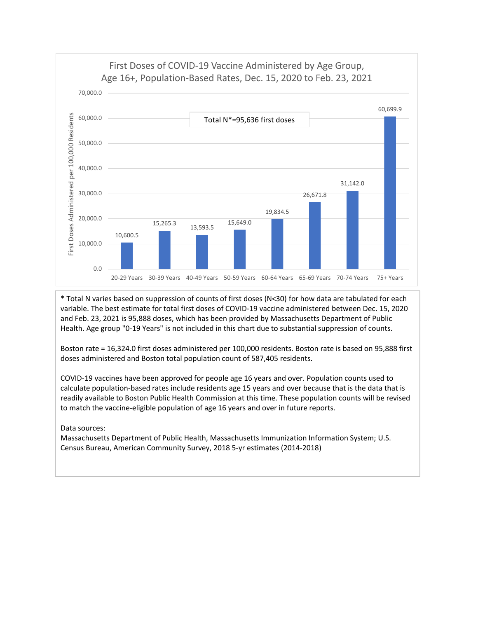

\* Total N varies based on suppression of counts of first doses (N<30) for how data are tabulated for each variable. The best estimate for total first doses of COVID-19 vaccine administered between Dec. 15, 2020 and Feb. 23, 2021 is 95,888 doses, which has been provided by Massachusetts Department of Public Health. Age group "0-19 Years" is not included in this chart due to substantial suppression of counts.

Boston rate = 16,324.0 first doses administered per 100,000 residents. Boston rate is based on 95,888 first doses administered and Boston total population count of 587,405 residents.

COVID-19 vaccines have been approved for people age 16 years and over. Population counts used to calculate population-based rates include residents age 15 years and over because that is the data that is readily available to Boston Public Health Commission at this time. These population counts will be revised to match the vaccine-eligible population of age 16 years and over in future reports.

## Data sources: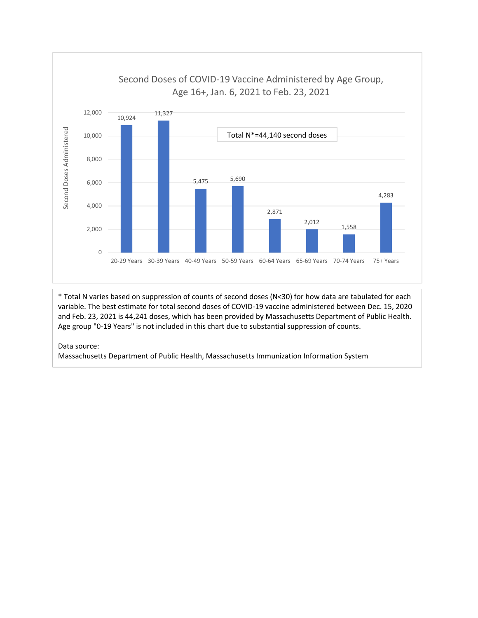

\* Total N varies based on suppression of counts of second doses (N<30) for how data are tabulated for each variable. The best estimate for total second doses of COVID-19 vaccine administered between Dec. 15, 2020 and Feb. 23, 2021 is 44,241 doses, which has been provided by Massachusetts Department of Public Health. Age group "0-19 Years" is not included in this chart due to substantial suppression of counts.

# Data source: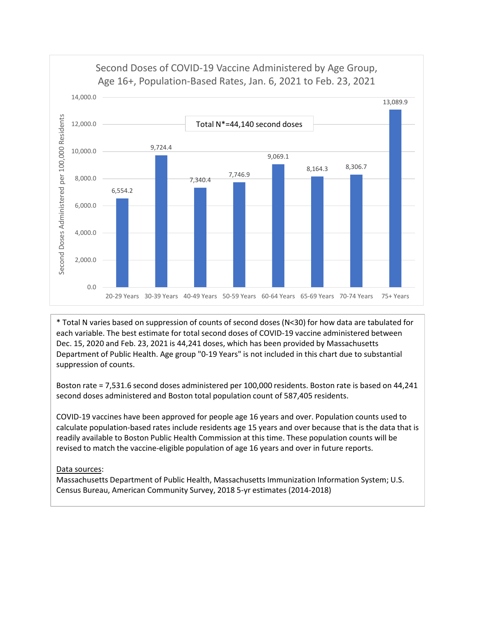

\* Total N varies based on suppression of counts of second doses (N<30) for how data are tabulated for each variable. The best estimate for total second doses of COVID-19 vaccine administered between Dec. 15, 2020 and Feb. 23, 2021 is 44,241 doses, which has been provided by Massachusetts Department of Public Health. Age group "0-19 Years" is not included in this chart due to substantial suppression of counts.

Boston rate = 7,531.6 second doses administered per 100,000 residents. Boston rate is based on 44,241 second doses administered and Boston total population count of 587,405 residents.

COVID-19 vaccines have been approved for people age 16 years and over. Population counts used to calculate population-based rates include residents age 15 years and over because that is the data that is readily available to Boston Public Health Commission at this time. These population counts will be revised to match the vaccine-eligible population of age 16 years and over in future reports.

# Data sources: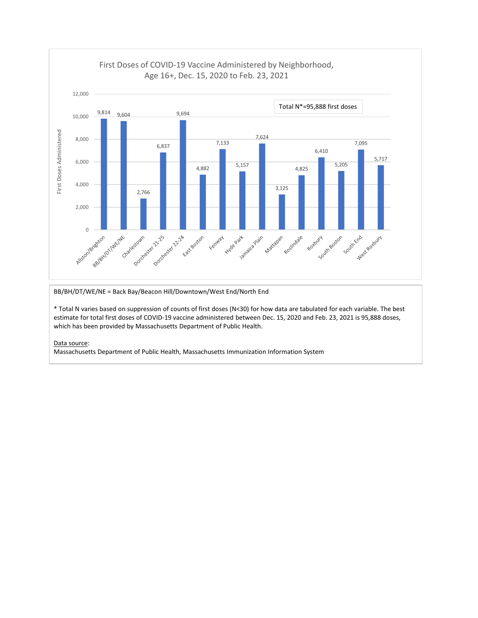

\* Total N varies based on suppression of counts of first doses (N<30) for how data are tabulated for each variable. The best estimate for total first doses of COVID-19 vaccine administered between Dec. 15, 2020 and Feb. 23, 2021 is 95,888 doses, which has been provided by Massachusetts Department of Public Health.

# Data source: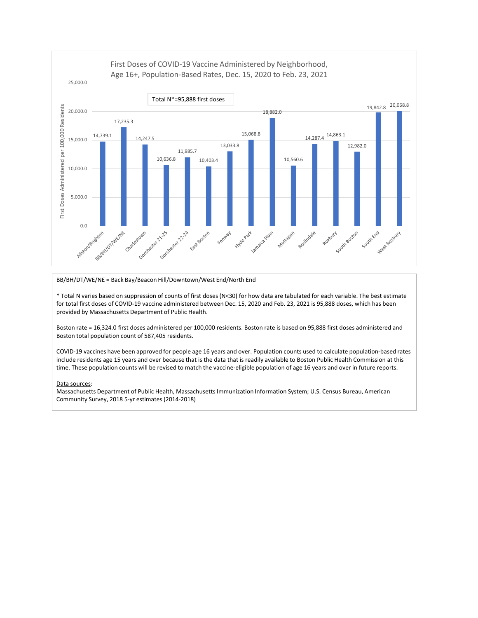

\* Total N varies based on suppression of counts of first doses (N<30) for how data are tabulated for each variable. The best estimate for total first doses of COVID-19 vaccine administered between Dec. 15, 2020 and Feb. 23, 2021 is 95,888 doses, which has been provided by Massachusetts Department of Public Health.

Boston rate = 16,324.0 first doses administered per 100,000 residents. Boston rate is based on 95,888 first doses administered and Boston total population count of 587,405 residents.

COVID-19 vaccines have been approved for people age 16 years and over. Population counts used to calculate population-based rates include residents age 15 years and over because that is the data that is readily available to Boston Public Health Commission at this time. These population counts will be revised to match the vaccine-eligible population of age 16 years and over in future reports.

#### Data sources: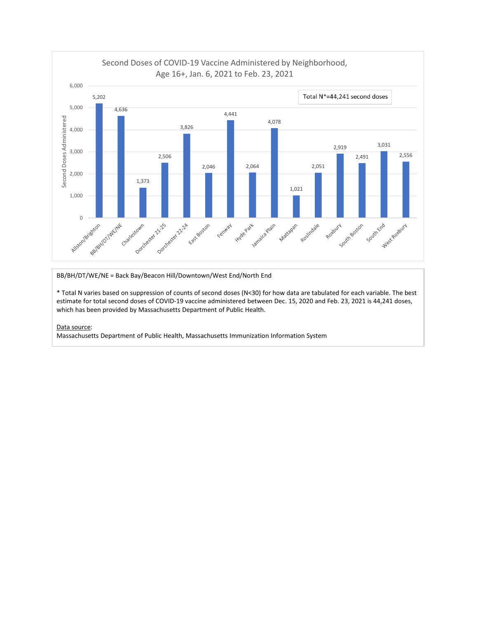

\* Total N varies based on suppression of counts of second doses (N<30) for how data are tabulated for each variable. The best estimate for total second doses of COVID-19 vaccine administered between Dec. 15, 2020 and Feb. 23, 2021 is 44,241 doses, which has been provided by Massachusetts Department of Public Health.

#### Data source: